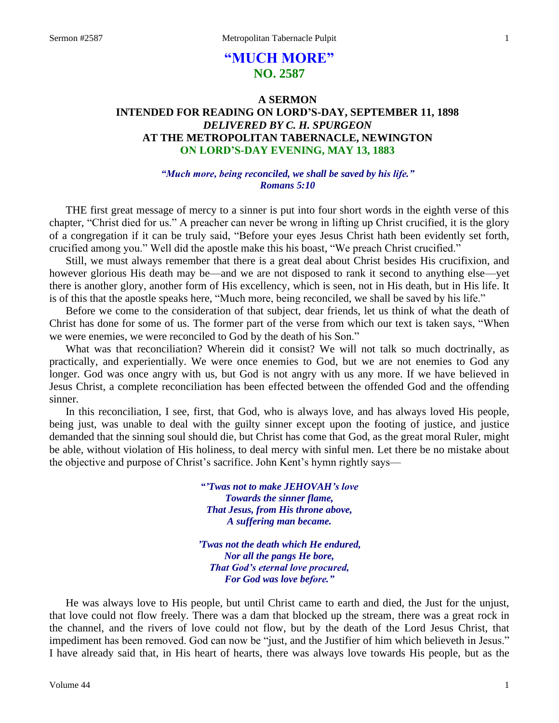# **"MUCH MORE" NO. 2587**

# **A SERMON INTENDED FOR READING ON LORD'S-DAY, SEPTEMBER 11, 1898** *DELIVERED BY C. H. SPURGEON* **AT THE METROPOLITAN TABERNACLE, NEWINGTON ON LORD'S-DAY EVENING, MAY 13, 1883**

#### *"Much more, being reconciled, we shall be saved by his life." Romans 5:10*

THE first great message of mercy to a sinner is put into four short words in the eighth verse of this chapter, "Christ died for us." A preacher can never be wrong in lifting up Christ crucified, it is the glory of a congregation if it can be truly said, "Before your eyes Jesus Christ hath been evidently set forth, crucified among you." Well did the apostle make this his boast, "We preach Christ crucified."

Still, we must always remember that there is a great deal about Christ besides His crucifixion, and however glorious His death may be—and we are not disposed to rank it second to anything else—yet there is another glory, another form of His excellency, which is seen, not in His death, but in His life. It is of this that the apostle speaks here, "Much more, being reconciled, we shall be saved by his life."

Before we come to the consideration of that subject, dear friends, let us think of what the death of Christ has done for some of us. The former part of the verse from which our text is taken says, "When we were enemies, we were reconciled to God by the death of his Son."

What was that reconciliation? Wherein did it consist? We will not talk so much doctrinally, as practically, and experientially. We were once enemies to God, but we are not enemies to God any longer. God was once angry with us, but God is not angry with us any more. If we have believed in Jesus Christ, a complete reconciliation has been effected between the offended God and the offending sinner.

In this reconciliation, I see, first, that God, who is always love, and has always loved His people, being just, was unable to deal with the guilty sinner except upon the footing of justice, and justice demanded that the sinning soul should die, but Christ has come that God, as the great moral Ruler, might be able, without violation of His holiness, to deal mercy with sinful men. Let there be no mistake about the objective and purpose of Christ's sacrifice. John Kent's hymn rightly says—

> *"'Twas not to make JEHOVAH's love Towards the sinner flame, That Jesus, from His throne above, A suffering man became.*

*'Twas not the death which He endured, Nor all the pangs He bore, That God's eternal love procured, For God was love before."*

He was always love to His people, but until Christ came to earth and died, the Just for the unjust, that love could not flow freely. There was a dam that blocked up the stream, there was a great rock in the channel, and the rivers of love could not flow, but by the death of the Lord Jesus Christ, that impediment has been removed. God can now be "just, and the Justifier of him which believeth in Jesus." I have already said that, in His heart of hearts, there was always love towards His people, but as the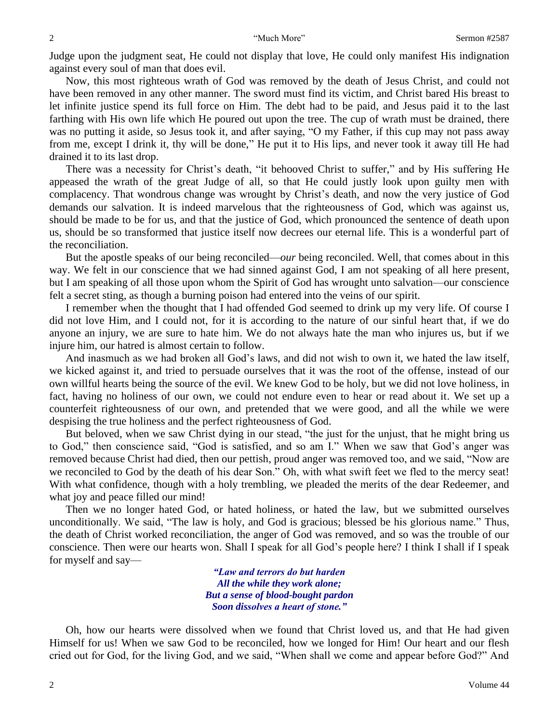Judge upon the judgment seat, He could not display that love, He could only manifest His indignation against every soul of man that does evil.

Now, this most righteous wrath of God was removed by the death of Jesus Christ, and could not have been removed in any other manner. The sword must find its victim, and Christ bared His breast to let infinite justice spend its full force on Him. The debt had to be paid, and Jesus paid it to the last farthing with His own life which He poured out upon the tree. The cup of wrath must be drained, there was no putting it aside, so Jesus took it, and after saying, "O my Father, if this cup may not pass away from me, except I drink it, thy will be done," He put it to His lips, and never took it away till He had drained it to its last drop.

There was a necessity for Christ's death, "it behooved Christ to suffer," and by His suffering He appeased the wrath of the great Judge of all, so that He could justly look upon guilty men with complacency. That wondrous change was wrought by Christ's death, and now the very justice of God demands our salvation. It is indeed marvelous that the righteousness of God, which was against us, should be made to be for us, and that the justice of God, which pronounced the sentence of death upon us, should be so transformed that justice itself now decrees our eternal life. This is a wonderful part of the reconciliation.

But the apostle speaks of our being reconciled—*our* being reconciled. Well, that comes about in this way. We felt in our conscience that we had sinned against God, I am not speaking of all here present, but I am speaking of all those upon whom the Spirit of God has wrought unto salvation—our conscience felt a secret sting, as though a burning poison had entered into the veins of our spirit.

I remember when the thought that I had offended God seemed to drink up my very life. Of course I did not love Him, and I could not, for it is according to the nature of our sinful heart that, if we do anyone an injury, we are sure to hate him. We do not always hate the man who injures us, but if we injure him, our hatred is almost certain to follow.

And inasmuch as we had broken all God's laws, and did not wish to own it, we hated the law itself, we kicked against it, and tried to persuade ourselves that it was the root of the offense, instead of our own willful hearts being the source of the evil. We knew God to be holy, but we did not love holiness, in fact, having no holiness of our own, we could not endure even to hear or read about it. We set up a counterfeit righteousness of our own, and pretended that we were good, and all the while we were despising the true holiness and the perfect righteousness of God.

But beloved, when we saw Christ dying in our stead, "the just for the unjust, that he might bring us to God," then conscience said, "God is satisfied, and so am I." When we saw that God's anger was removed because Christ had died, then our pettish, proud anger was removed too, and we said, "Now are we reconciled to God by the death of his dear Son." Oh, with what swift feet we fled to the mercy seat! With what confidence, though with a holy trembling, we pleaded the merits of the dear Redeemer, and what joy and peace filled our mind!

Then we no longer hated God, or hated holiness, or hated the law, but we submitted ourselves unconditionally. We said, "The law is holy, and God is gracious; blessed be his glorious name." Thus, the death of Christ worked reconciliation, the anger of God was removed, and so was the trouble of our conscience. Then were our hearts won. Shall I speak for all God's people here? I think I shall if I speak for myself and say—

> *"Law and terrors do but harden All the while they work alone; But a sense of blood-bought pardon Soon dissolves a heart of stone."*

Oh, how our hearts were dissolved when we found that Christ loved us, and that He had given Himself for us! When we saw God to be reconciled, how we longed for Him! Our heart and our flesh cried out for God, for the living God, and we said, "When shall we come and appear before God?" And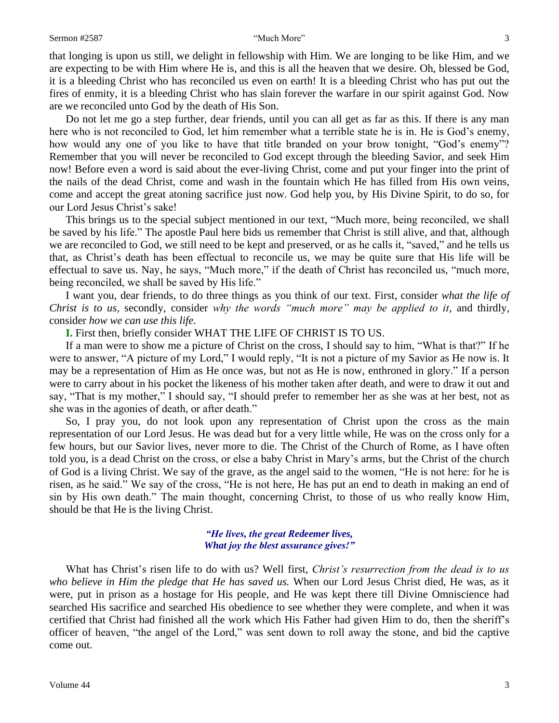#### Sermon #2587 "Much More" 3

that longing is upon us still, we delight in fellowship with Him. We are longing to be like Him, and we are expecting to be with Him where He is, and this is all the heaven that we desire. Oh, blessed be God, it is a bleeding Christ who has reconciled us even on earth! It is a bleeding Christ who has put out the fires of enmity, it is a bleeding Christ who has slain forever the warfare in our spirit against God. Now are we reconciled unto God by the death of His Son.

Do not let me go a step further, dear friends, until you can all get as far as this. If there is any man here who is not reconciled to God, let him remember what a terrible state he is in. He is God's enemy, how would any one of you like to have that title branded on your brow tonight, "God's enemy"? Remember that you will never be reconciled to God except through the bleeding Savior, and seek Him now! Before even a word is said about the ever-living Christ, come and put your finger into the print of the nails of the dead Christ, come and wash in the fountain which He has filled from His own veins, come and accept the great atoning sacrifice just now. God help you, by His Divine Spirit, to do so, for our Lord Jesus Christ's sake!

This brings us to the special subject mentioned in our text, "Much more, being reconciled, we shall be saved by his life." The apostle Paul here bids us remember that Christ is still alive, and that, although we are reconciled to God, we still need to be kept and preserved, or as he calls it, "saved," and he tells us that, as Christ's death has been effectual to reconcile us, we may be quite sure that His life will be effectual to save us. Nay, he says, "Much more," if the death of Christ has reconciled us, "much more, being reconciled, we shall be saved by His life."

I want you, dear friends, to do three things as you think of our text. First, consider *what the life of Christ is to us,* secondly, consider *why the words "much more" may be applied to it,* and thirdly, consider *how we can use this life.* 

**I.** First then, briefly consider WHAT THE LIFE OF CHRIST IS TO US.

If a man were to show me a picture of Christ on the cross, I should say to him, "What is that?" If he were to answer, "A picture of my Lord," I would reply, "It is not a picture of my Savior as He now is. It may be a representation of Him as He once was, but not as He is now, enthroned in glory." If a person were to carry about in his pocket the likeness of his mother taken after death, and were to draw it out and say, "That is my mother," I should say, "I should prefer to remember her as she was at her best, not as she was in the agonies of death, or after death."

So, I pray you, do not look upon any representation of Christ upon the cross as the main representation of our Lord Jesus. He was dead but for a very little while, He was on the cross only for a few hours, but our Savior lives, never more to die. The Christ of the Church of Rome, as I have often told you, is a dead Christ on the cross, or else a baby Christ in Mary's arms, but the Christ of the church of God is a living Christ. We say of the grave, as the angel said to the women, "He is not here: for he is risen, as he said." We say of the cross, "He is not here, He has put an end to death in making an end of sin by His own death." The main thought, concerning Christ, to those of us who really know Him, should be that He is the living Christ.

### *"He lives, the great Redeemer lives, What joy the blest assurance gives!"*

What has Christ's risen life to do with us? Well first, *Christ's resurrection from the dead is to us who believe in Him the pledge that He has saved us.* When our Lord Jesus Christ died, He was, as it were, put in prison as a hostage for His people, and He was kept there till Divine Omniscience had searched His sacrifice and searched His obedience to see whether they were complete, and when it was certified that Christ had finished all the work which His Father had given Him to do, then the sheriff's officer of heaven, "the angel of the Lord," was sent down to roll away the stone, and bid the captive come out.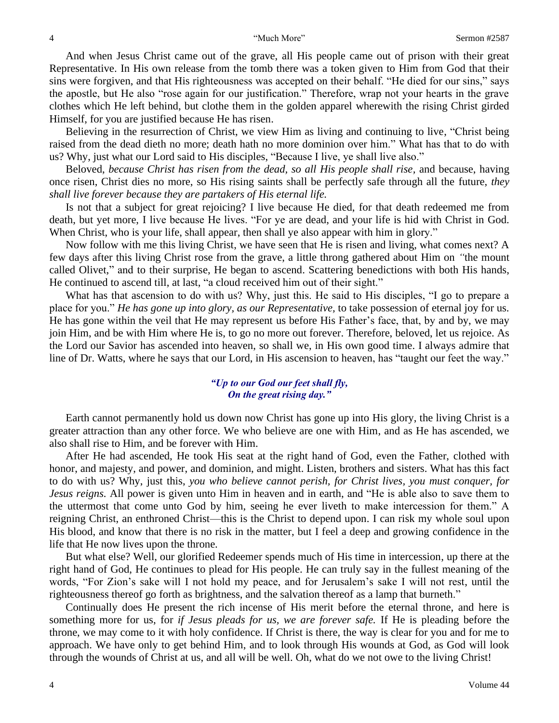And when Jesus Christ came out of the grave, all His people came out of prison with their great Representative. In His own release from the tomb there was a token given to Him from God that their sins were forgiven, and that His righteousness was accepted on their behalf. "He died for our sins," says the apostle, but He also "rose again for our justification." Therefore, wrap not your hearts in the grave clothes which He left behind, but clothe them in the golden apparel wherewith the rising Christ girded Himself, for you are justified because He has risen.

Believing in the resurrection of Christ, we view Him as living and continuing to live, "Christ being raised from the dead dieth no more; death hath no more dominion over him." What has that to do with us? Why, just what our Lord said to His disciples, "Because I live, ye shall live also."

Beloved, *because Christ has risen from the dead, so all His people shall rise,* and because, having once risen, Christ dies no more, so His rising saints shall be perfectly safe through all the future, *they shall live forever because they are partakers of His eternal life.* 

Is not that a subject for great rejoicing? I live because He died, for that death redeemed me from death, but yet more, I live because He lives. "For ye are dead, and your life is hid with Christ in God. When Christ, who is your life, shall appear, then shall ye also appear with him in glory."

Now follow with me this living Christ, we have seen that He is risen and living, what comes next? A few days after this living Christ rose from the grave, a little throng gathered about Him on *"*the mount called Olivet," and to their surprise, He began to ascend. Scattering benedictions with both His hands, He continued to ascend till, at last, "a cloud received him out of their sight."

What has that ascension to do with us? Why, just this. He said to His disciples, "I go to prepare a place for you." *He has gone up into glory, as our Representative,* to take possession of eternal joy for us. He has gone within the veil that He may represent us before His Father's face, that, by and by, we may join Him, and be with Him where He is, to go no more out forever. Therefore, beloved, let us rejoice. As the Lord our Savior has ascended into heaven, so shall we, in His own good time. I always admire that line of Dr. Watts, where he says that our Lord, in His ascension to heaven, has "taught our feet the way."

### *"Up to our God our feet shall fly, On the great rising day."*

Earth cannot permanently hold us down now Christ has gone up into His glory, the living Christ is a greater attraction than any other force. We who believe are one with Him, and as He has ascended, we also shall rise to Him, and be forever with Him.

After He had ascended, He took His seat at the right hand of God, even the Father, clothed with honor, and majesty, and power, and dominion, and might. Listen, brothers and sisters. What has this fact to do with us? Why, just this, *you who believe cannot perish, for Christ lives, you must conquer, for Jesus reigns.* All power is given unto Him in heaven and in earth, and "He is able also to save them to the uttermost that come unto God by him, seeing he ever liveth to make intercession for them." A reigning Christ, an enthroned Christ—this is the Christ to depend upon. I can risk my whole soul upon His blood, and know that there is no risk in the matter, but I feel a deep and growing confidence in the life that He now lives upon the throne.

But what else? Well, our glorified Redeemer spends much of His time in intercession, up there at the right hand of God, He continues to plead for His people. He can truly say in the fullest meaning of the words, "For Zion's sake will I not hold my peace, and for Jerusalem's sake I will not rest, until the righteousness thereof go forth as brightness, and the salvation thereof as a lamp that burneth."

Continually does He present the rich incense of His merit before the eternal throne, and here is something more for us, for *if Jesus pleads for us, we are forever safe.* If He is pleading before the throne, we may come to it with holy confidence. If Christ is there, the way is clear for you and for me to approach. We have only to get behind Him, and to look through His wounds at God, as God will look through the wounds of Christ at us, and all will be well. Oh, what do we not owe to the living Christ!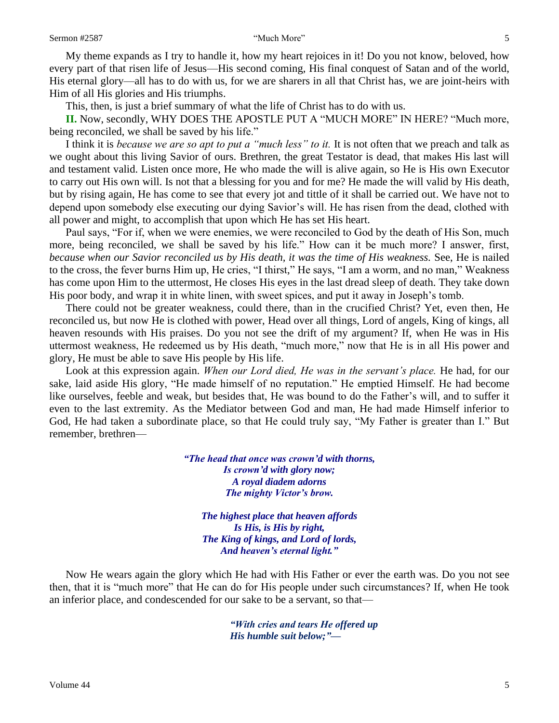My theme expands as I try to handle it, how my heart rejoices in it! Do you not know, beloved, how every part of that risen life of Jesus—His second coming, His final conquest of Satan and of the world, His eternal glory—all has to do with us, for we are sharers in all that Christ has, we are joint-heirs with Him of all His glories and His triumphs.

This, then, is just a brief summary of what the life of Christ has to do with us.

**II.** Now, secondly, WHY DOES THE APOSTLE PUT A "MUCH MORE" IN HERE? "Much more, being reconciled, we shall be saved by his life."

I think it is *because we are so apt to put a "much less" to it.* It is not often that we preach and talk as we ought about this living Savior of ours. Brethren, the great Testator is dead, that makes His last will and testament valid. Listen once more, He who made the will is alive again, so He is His own Executor to carry out His own will. Is not that a blessing for you and for me? He made the will valid by His death, but by rising again, He has come to see that every jot and tittle of it shall be carried out. We have not to depend upon somebody else executing our dying Savior's will. He has risen from the dead, clothed with all power and might, to accomplish that upon which He has set His heart.

Paul says, "For if, when we were enemies, we were reconciled to God by the death of His Son, much more, being reconciled, we shall be saved by his life." How can it be much more? I answer, first, *because when our Savior reconciled us by His death, it was the time of His weakness. See, He is nailed* to the cross, the fever burns Him up, He cries, "I thirst," He says, "I am a worm, and no man," Weakness has come upon Him to the uttermost, He closes His eyes in the last dread sleep of death. They take down His poor body, and wrap it in white linen, with sweet spices, and put it away in Joseph's tomb.

There could not be greater weakness, could there, than in the crucified Christ? Yet, even then, He reconciled us, but now He is clothed with power, Head over all things, Lord of angels, King of kings, all heaven resounds with His praises. Do you not see the drift of my argument? If, when He was in His uttermost weakness, He redeemed us by His death, "much more," now that He is in all His power and glory, He must be able to save His people by His life.

Look at this expression again. *When our Lord died, He was in the servant's place.* He had, for our sake, laid aside His glory, "He made himself of no reputation." He emptied Himself. He had become like ourselves, feeble and weak, but besides that, He was bound to do the Father's will, and to suffer it even to the last extremity. As the Mediator between God and man, He had made Himself inferior to God, He had taken a subordinate place, so that He could truly say, "My Father is greater than I." But remember, brethren—

> *"The head that once was crown'd with thorns, Is crown'd with glory now; A royal diadem adorns The mighty Victor's brow.*

*The highest place that heaven affords Is His, is His by right, The King of kings, and Lord of lords, And heaven's eternal light."*

Now He wears again the glory which He had with His Father or ever the earth was. Do you not see then, that it is "much more" that He can do for His people under such circumstances? If, when He took an inferior place, and condescended for our sake to be a servant, so that—

> *"With cries and tears He offered up His humble suit below;"—*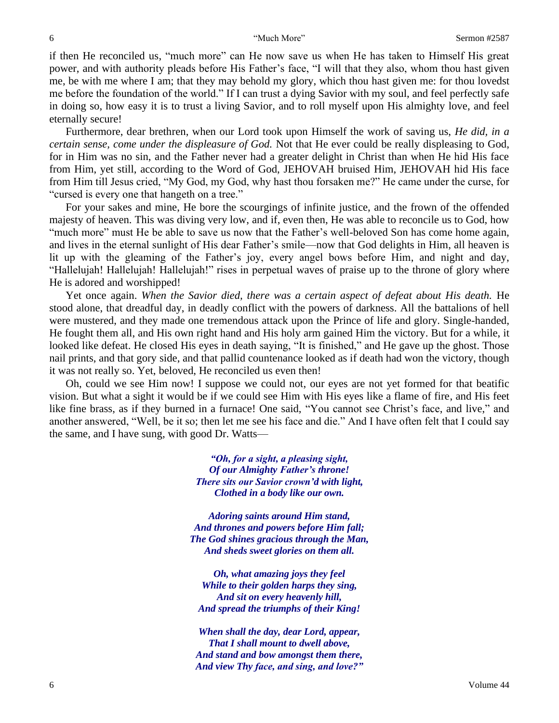if then He reconciled us, "much more" can He now save us when He has taken to Himself His great power, and with authority pleads before His Father's face, "I will that they also, whom thou hast given me, be with me where I am; that they may behold my glory, which thou hast given me: for thou lovedst me before the foundation of the world." If I can trust a dying Savior with my soul, and feel perfectly safe in doing so, how easy it is to trust a living Savior, and to roll myself upon His almighty love, and feel eternally secure!

Furthermore, dear brethren, when our Lord took upon Himself the work of saving us, *He did, in a certain sense, come under the displeasure of God.* Not that He ever could be really displeasing to God, for in Him was no sin, and the Father never had a greater delight in Christ than when He hid His face from Him, yet still, according to the Word of God, JEHOVAH bruised Him, JEHOVAH hid His face from Him till Jesus cried, "My God, my God, why hast thou forsaken me?" He came under the curse, for "cursed is every one that hangeth on a tree."

For your sakes and mine, He bore the scourgings of infinite justice, and the frown of the offended majesty of heaven. This was diving very low, and if, even then, He was able to reconcile us to God, how "much more" must He be able to save us now that the Father's well-beloved Son has come home again, and lives in the eternal sunlight of His dear Father's smile—now that God delights in Him, all heaven is lit up with the gleaming of the Father's joy, every angel bows before Him, and night and day, "Hallelujah! Hallelujah! Hallelujah!" rises in perpetual waves of praise up to the throne of glory where He is adored and worshipped!

Yet once again. When the Savior died, there was a certain aspect of defeat about His death. He stood alone, that dreadful day, in deadly conflict with the powers of darkness. All the battalions of hell were mustered, and they made one tremendous attack upon the Prince of life and glory. Single-handed, He fought them all, and His own right hand and His holy arm gained Him the victory. But for a while, it looked like defeat. He closed His eyes in death saying, "It is finished," and He gave up the ghost. Those nail prints, and that gory side, and that pallid countenance looked as if death had won the victory, though it was not really so. Yet, beloved, He reconciled us even then!

Oh, could we see Him now! I suppose we could not, our eyes are not yet formed for that beatific vision. But what a sight it would be if we could see Him with His eyes like a flame of fire, and His feet like fine brass, as if they burned in a furnace! One said, "You cannot see Christ's face, and live," and another answered, "Well, be it so; then let me see his face and die." And I have often felt that I could say the same, and I have sung, with good Dr. Watts—

> *"Oh, for a sight, a pleasing sight, Of our Almighty Father's throne! There sits our Savior crown'd with light, Clothed in a body like our own.*

*Adoring saints around Him stand, And thrones and powers before Him fall; The God shines gracious through the Man, And sheds sweet glories on them all.*

*Oh, what amazing joys they feel While to their golden harps they sing, And sit on every heavenly hill, And spread the triumphs of their King!*

*When shall the day, dear Lord, appear, That I shall mount to dwell above, And stand and bow amongst them there, And view Thy face, and sing, and love?"*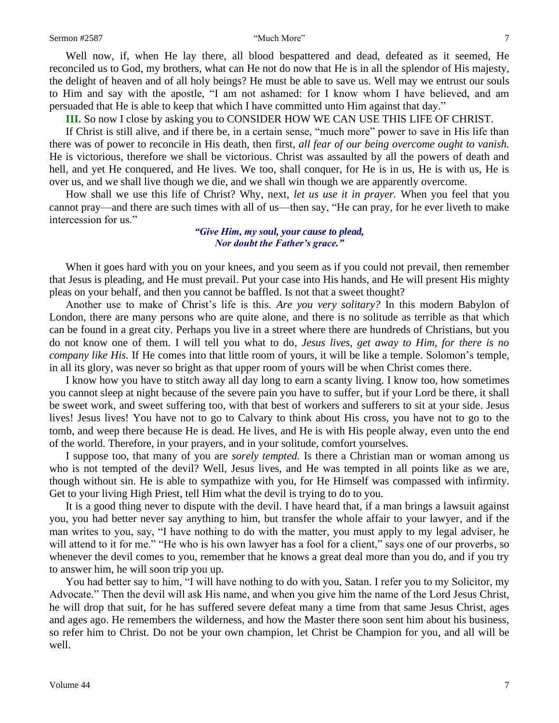Well now, if, when He lay there, all blood bespattered and dead, defeated as it seemed, He reconciled us to God, my brothers, what can He not do now that He is in all the splendor of His majesty, the delight of heaven and of all holy beings? He must be able to save us. Well may we entrust our souls to Him and say with the apostle, "I am not ashamed: for I know whom I have believed, and am persuaded that He is able to keep that which I have committed unto Him against that day."

**III.** So now I close by asking you to CONSIDER HOW WE CAN USE THIS LIFE OF CHRIST.

If Christ is still alive, and if there be, in a certain sense, "much more" power to save in His life than there was of power to reconcile in His death, then first, *all fear of our being overcome ought to vanish.*  He is victorious, therefore we shall be victorious. Christ was assaulted by all the powers of death and hell, and yet He conquered, and He lives. We too, shall conquer, for He is in us, He is with us, He is over us, and we shall live though we die, and we shall win though we are apparently overcome.

How shall we use this life of Christ? Why, next, *let us use it in prayer.* When you feel that you cannot pray—and there are such times with all of us—then say, "He can pray, for he ever liveth to make intercession for us."

> *"Give Him, my soul, your cause to plead, Nor doubt the Father's grace."*

When it goes hard with you on your knees, and you seem as if you could not prevail, then remember that Jesus is pleading, and He must prevail. Put your case into His hands, and He will present His mighty pleas on your behalf, and then you cannot be baffled. Is not that a sweet thought?

Another use to make of Christ's life is this. *Are you very solitary?* In this modern Babylon of London, there are many persons who are quite alone, and there is no solitude as terrible as that which can be found in a great city. Perhaps you live in a street where there are hundreds of Christians, but you do not know one of them. I will tell you what to do, *Jesus lives, get away to Him, for there is no company like His.* If He comes into that little room of yours, it will be like a temple. Solomon's temple, in all its glory, was never so bright as that upper room of yours will be when Christ comes there.

I know how you have to stitch away all day long to earn a scanty living. I know too*,* how sometimes you cannot sleep at night because of the severe pain you have to suffer, but if your Lord be there, it shall be sweet work, and sweet suffering too, with that best of workers and sufferers to sit at your side. Jesus lives! Jesus lives! You have not to go to Calvary to think about His cross, you have not to go to the tomb, and weep there because He is dead. He lives, and He is with His people alway, even unto the end of the world. Therefore, in your prayers, and in your solitude, comfort yourselves.

I suppose too, that many of you are *sorely tempted.* Is there a Christian man or woman among us who is not tempted of the devil? Well, Jesus lives, and He was tempted in all points like as we are, though without sin. He is able to sympathize with you, for He Himself was compassed with infirmity. Get to your living High Priest, tell Him what the devil is trying to do to you.

It is a good thing never to dispute with the devil. I have heard that, if a man brings a lawsuit against you, you had better never say anything to him, but transfer the whole affair to your lawyer, and if the man writes to you, say, "I have nothing to do with the matter, you must apply to my legal adviser, he will attend to it for me." "He who is his own lawyer has a fool for a client," says one of our proverbs, so whenever the devil comes to you, remember that he knows a great deal more than you do, and if you try to answer him, he will soon trip you up.

You had better say to him, "I will have nothing to do with you, Satan. I refer you to my Solicitor, my Advocate." Then the devil will ask His name, and when you give him the name of the Lord Jesus Christ, he will drop that suit, for he has suffered severe defeat many a time from that same Jesus Christ, ages and ages ago. He remembers the wilderness, and how the Master there soon sent him about his business, so refer him to Christ. Do not be your own champion, let Christ be Champion for you, and all will be well.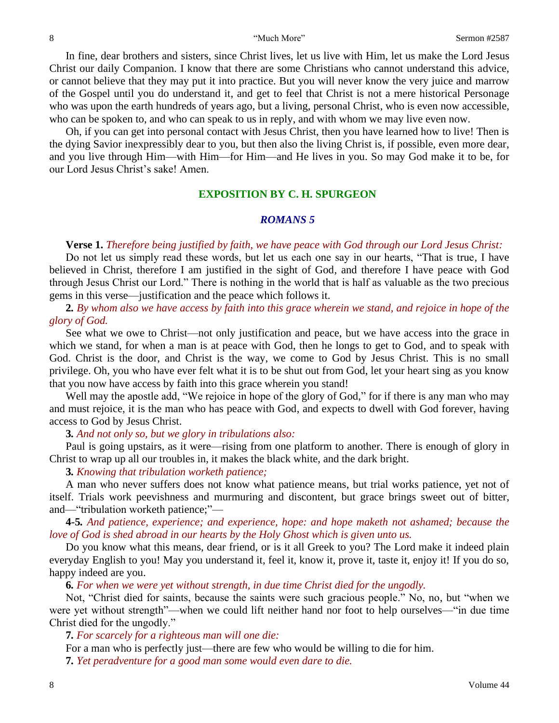In fine, dear brothers and sisters, since Christ lives, let us live with Him, let us make the Lord Jesus Christ our daily Companion. I know that there are some Christians who cannot understand this advice, or cannot believe that they may put it into practice. But you will never know the very juice and marrow of the Gospel until you do understand it, and get to feel that Christ is not a mere historical Personage who was upon the earth hundreds of years ago, but a living, personal Christ, who is even now accessible, who can be spoken to, and who can speak to us in reply, and with whom we may live even now.

Oh, if you can get into personal contact with Jesus Christ, then you have learned how to live! Then is the dying Savior inexpressibly dear to you, but then also the living Christ is, if possible, even more dear, and you live through Him—with Him—for Him—and He lives in you. So may God make it to be, for our Lord Jesus Christ's sake! Amen.

## **EXPOSITION BY C. H. SPURGEON**

#### *ROMANS 5*

#### **Verse 1.** *Therefore being justified by faith, we have peace with God through our Lord Jesus Christ:*

Do not let us simply read these words, but let us each one say in our hearts, "That is true, I have believed in Christ, therefore I am justified in the sight of God, and therefore I have peace with God through Jesus Christ our Lord." There is nothing in the world that is half as valuable as the two precious gems in this verse—justification and the peace which follows it.

**2***. By whom also we have access by faith into this grace wherein we stand, and rejoice in hope of the glory of God.*

See what we owe to Christ—not only justification and peace, but we have access into the grace in which we stand, for when a man is at peace with God, then he longs to get to God, and to speak with God. Christ is the door, and Christ is the way, we come to God by Jesus Christ. This is no small privilege. Oh, you who have ever felt what it is to be shut out from God, let your heart sing as you know that you now have access by faith into this grace wherein you stand!

Well may the apostle add, "We rejoice in hope of the glory of God," for if there is any man who may and must rejoice, it is the man who has peace with God, and expects to dwell with God forever, having access to God by Jesus Christ.

### **3***. And not only so, but we glory in tribulations also:*

Paul is going upstairs, as it were—rising from one platform to another. There is enough of glory in Christ to wrap up all our troubles in, it makes the black white, and the dark bright.

#### **3***. Knowing that tribulation worketh patience;*

A man who never suffers does not know what patience means, but trial works patience, yet not of itself. Trials work peevishness and murmuring and discontent, but grace brings sweet out of bitter, and—"tribulation worketh patience;"—

**4***-***5***. And patience, experience; and experience, hope: and hope maketh not ashamed; because the love of God is shed abroad in our hearts by the Holy Ghost which is given unto us.*

Do you know what this means, dear friend, or is it all Greek to you? The Lord make it indeed plain everyday English to you! May you understand it, feel it, know it, prove it, taste it, enjoy it! If you do so, happy indeed are you.

**6***. For when we were yet without strength, in due time Christ died for the ungodly.*

Not, "Christ died for saints, because the saints were such gracious people." No, no, but "when we were yet without strength"—when we could lift neither hand nor foot to help ourselves—"in due time Christ died for the ungodly."

**7***. For scarcely for a righteous man will one die:*

For a man who is perfectly just—there are few who would be willing to die for him. **7***. Yet peradventure for a good man some would even dare to die.*